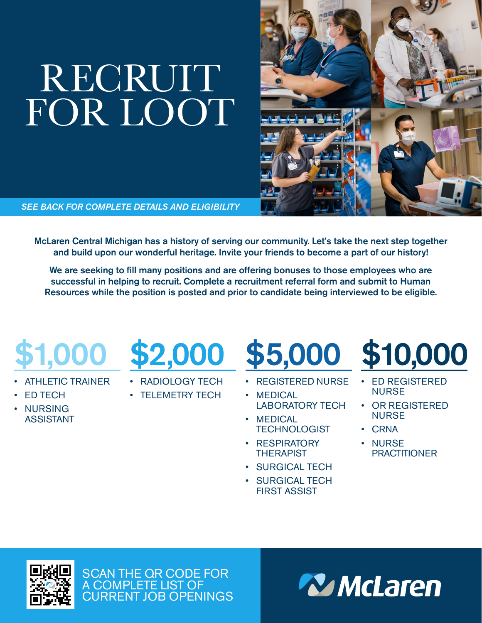# RECRUIT FOR LOOT

*SEE BACK FOR COMPLETE DETAILS AND ELIGIBILITY*

McLaren Central Michigan has a history of serving our community. Let's take the next step together and build upon our wonderful heritage. Invite your friends to become a part of our history!

We are seeking to fill many positions and are offering bonuses to those employees who are successful in helping to recruit. Complete a recruitment referral form and submit to Human Resources while the position is posted and prior to candidate being interviewed to be eligible.

# \$1,000

- ATHLETIC TRAINER
- ED TECH
- NURSING ASSISTANT

### \$2,000

- RADIOLOGY TECH
- TELEMETRY TECH

- REGISTERED NURSE
- MEDICAL LABORATORY TECH
- MEDICAL **TECHNOLOGIST**
- RESPIRATORY **THERAPIST**
- SURGICAL TECH
- SURGICAL TECH FIRST ASSIST



- ED REGISTERED NURSE
- OR REGISTERED NURSE
- CRNA
- NURSE **PRACTITIONER**



SCAN THE QR CODE FOR A COMPLETE LIST OF CURRENT JOB OPENINGS